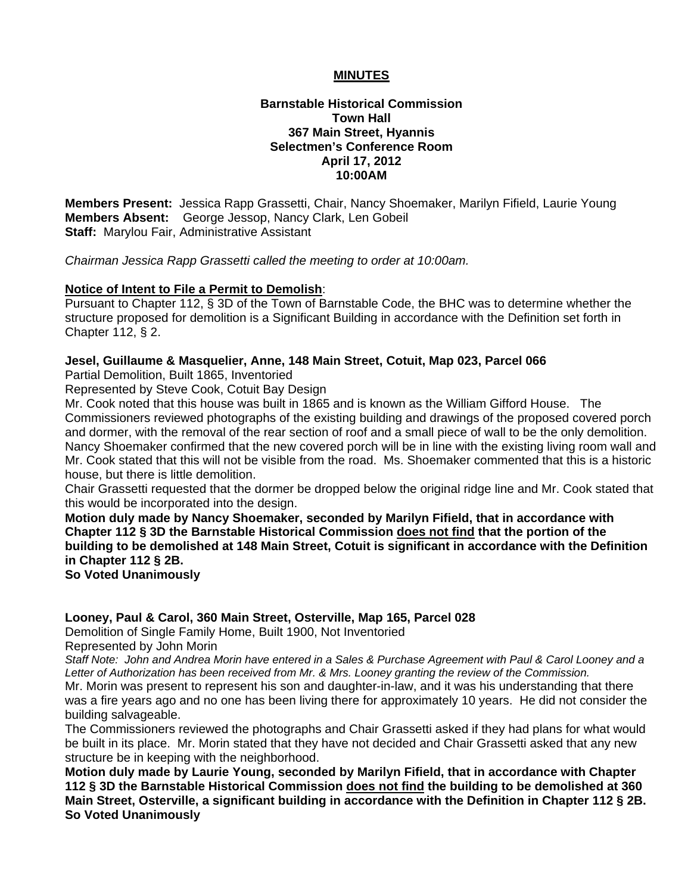### **MINUTES**

#### **Barnstable Historical Commission Town Hall 367 Main Street, Hyannis Selectmen's Conference Room April 17, 2012 10:00AM**

**Members Present:** Jessica Rapp Grassetti, Chair, Nancy Shoemaker, Marilyn Fifield, Laurie Young **Members Absent:** George Jessop, Nancy Clark, Len Gobeil **Staff:** Marylou Fair, Administrative Assistant

*Chairman Jessica Rapp Grassetti called the meeting to order at 10:00am.* 

#### **Notice of Intent to File a Permit to Demolish**:

Pursuant to Chapter 112, § 3D of the Town of Barnstable Code, the BHC was to determine whether the structure proposed for demolition is a Significant Building in accordance with the Definition set forth in Chapter 112, § 2.

#### **Jesel, Guillaume & Masquelier, Anne, 148 Main Street, Cotuit, Map 023, Parcel 066**

Partial Demolition, Built 1865, Inventoried

Represented by Steve Cook, Cotuit Bay Design

Mr. Cook noted that this house was built in 1865 and is known as the William Gifford House. The Commissioners reviewed photographs of the existing building and drawings of the proposed covered porch and dormer, with the removal of the rear section of roof and a small piece of wall to be the only demolition. Nancy Shoemaker confirmed that the new covered porch will be in line with the existing living room wall and Mr. Cook stated that this will not be visible from the road. Ms. Shoemaker commented that this is a historic house, but there is little demolition.

Chair Grassetti requested that the dormer be dropped below the original ridge line and Mr. Cook stated that this would be incorporated into the design.

**Motion duly made by Nancy Shoemaker, seconded by Marilyn Fifield, that in accordance with Chapter 112 § 3D the Barnstable Historical Commission does not find that the portion of the building to be demolished at 148 Main Street, Cotuit is significant in accordance with the Definition in Chapter 112 § 2B.** 

**So Voted Unanimously** 

## **Looney, Paul & Carol, 360 Main Street, Osterville, Map 165, Parcel 028**

Demolition of Single Family Home, Built 1900, Not Inventoried Represented by John Morin

*Staff Note: John and Andrea Morin have entered in a Sales & Purchase Agreement with Paul & Carol Looney and a Letter of Authorization has been received from Mr. & Mrs. Looney granting the review of the Commission.* 

Mr. Morin was present to represent his son and daughter-in-law, and it was his understanding that there was a fire years ago and no one has been living there for approximately 10 years. He did not consider the building salvageable.

The Commissioners reviewed the photographs and Chair Grassetti asked if they had plans for what would be built in its place. Mr. Morin stated that they have not decided and Chair Grassetti asked that any new structure be in keeping with the neighborhood.

**Motion duly made by Laurie Young, seconded by Marilyn Fifield, that in accordance with Chapter 112 § 3D the Barnstable Historical Commission does not find the building to be demolished at 360 Main Street, Osterville, a significant building in accordance with the Definition in Chapter 112 § 2B. So Voted Unanimously**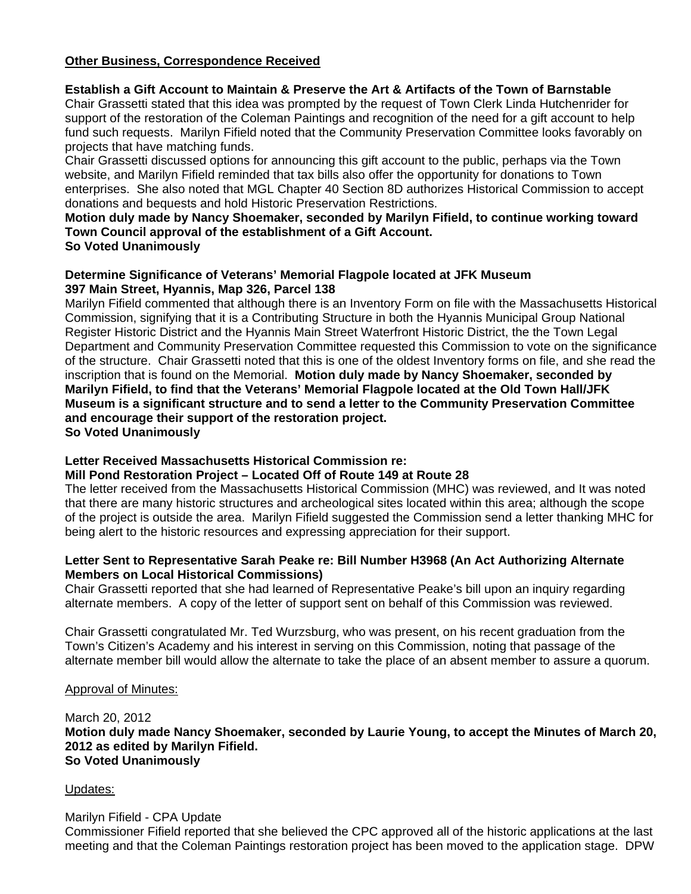# **Other Business, Correspondence Received**

## **Establish a Gift Account to Maintain & Preserve the Art & Artifacts of the Town of Barnstable**

Chair Grassetti stated that this idea was prompted by the request of Town Clerk Linda Hutchenrider for support of the restoration of the Coleman Paintings and recognition of the need for a gift account to help fund such requests. Marilyn Fifield noted that the Community Preservation Committee looks favorably on projects that have matching funds.

Chair Grassetti discussed options for announcing this gift account to the public, perhaps via the Town website, and Marilyn Fifield reminded that tax bills also offer the opportunity for donations to Town enterprises. She also noted that MGL Chapter 40 Section 8D authorizes Historical Commission to accept donations and bequests and hold Historic Preservation Restrictions.

#### **Motion duly made by Nancy Shoemaker, seconded by Marilyn Fifield, to continue working toward Town Council approval of the establishment of a Gift Account. So Voted Unanimously**

#### **Determine Significance of Veterans' Memorial Flagpole located at JFK Museum 397 Main Street, Hyannis, Map 326, Parcel 138**

Marilyn Fifield commented that although there is an Inventory Form on file with the Massachusetts Historical Commission, signifying that it is a Contributing Structure in both the Hyannis Municipal Group National Register Historic District and the Hyannis Main Street Waterfront Historic District, the the Town Legal Department and Community Preservation Committee requested this Commission to vote on the significance of the structure. Chair Grassetti noted that this is one of the oldest Inventory forms on file, and she read the inscription that is found on the Memorial. **Motion duly made by Nancy Shoemaker, seconded by Marilyn Fifield, to find that the Veterans' Memorial Flagpole located at the Old Town Hall/JFK Museum is a significant structure and to send a letter to the Community Preservation Committee and encourage their support of the restoration project. So Voted Unanimously** 

## **Letter Received Massachusetts Historical Commission re:**

## **Mill Pond Restoration Project – Located Off of Route 149 at Route 28**

The letter received from the Massachusetts Historical Commission (MHC) was reviewed, and It was noted that there are many historic structures and archeological sites located within this area; although the scope of the project is outside the area. Marilyn Fifield suggested the Commission send a letter thanking MHC for being alert to the historic resources and expressing appreciation for their support.

### **Letter Sent to Representative Sarah Peake re: Bill Number H3968 (An Act Authorizing Alternate Members on Local Historical Commissions)**

Chair Grassetti reported that she had learned of Representative Peake's bill upon an inquiry regarding alternate members. A copy of the letter of support sent on behalf of this Commission was reviewed.

Chair Grassetti congratulated Mr. Ted Wurzsburg, who was present, on his recent graduation from the Town's Citizen's Academy and his interest in serving on this Commission, noting that passage of the alternate member bill would allow the alternate to take the place of an absent member to assure a quorum.

## Approval of Minutes:

March 20, 2012 **Motion duly made Nancy Shoemaker, seconded by Laurie Young, to accept the Minutes of March 20, 2012 as edited by Marilyn Fifield. So Voted Unanimously** 

## Updates:

## Marilyn Fifield - CPA Update

Commissioner Fifield reported that she believed the CPC approved all of the historic applications at the last meeting and that the Coleman Paintings restoration project has been moved to the application stage. DPW